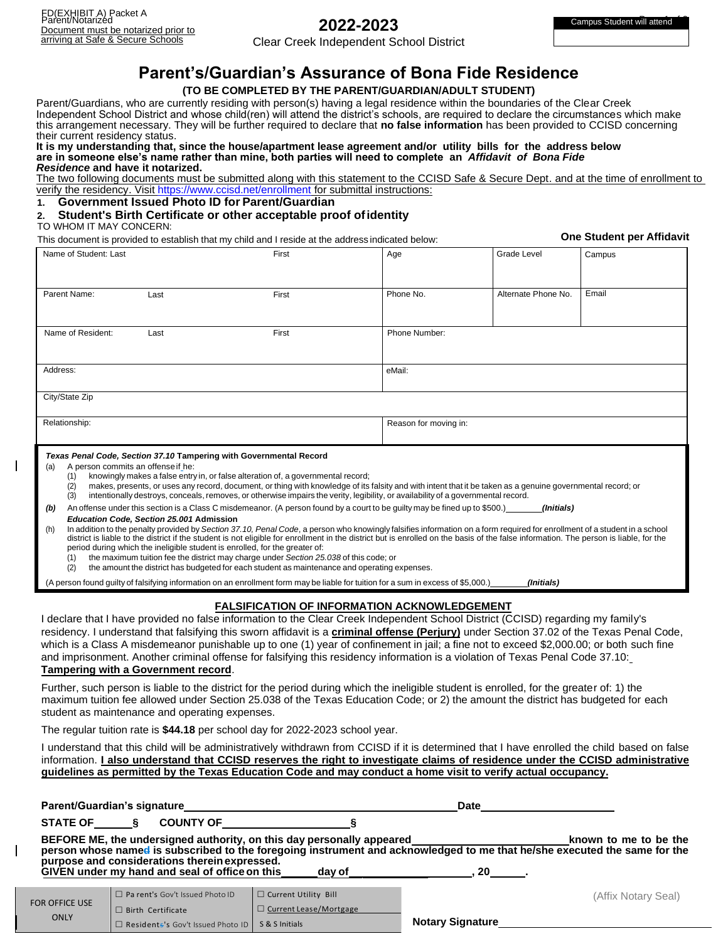# **2022-2023**

Clear Creek Independent School District

# **Parent's/Guardian's Assurance of Bona Fide Residence**

#### **(TO BE COMPLETED BY THE PARENT/GUARDIAN/ADULT STUDENT)**

Parent/Guardians, who are currently residing with person(s) having a legal residence within the boundaries of the Clear Creek Independent School District and whose child(ren) will attend the district's schools, are required to declare the circumstances which make this arrangement necessary. They will be further required to declare that **no false information** has been provided to CCISD concerning their current residency status.

#### **It is my understanding that, since the house/apartment lease agreement and/or utility bills for the address below are in someone else's name rather than mine, both parties will need to complete an** *Affidavit of Bona Fide Residence* **and have it notarized.**

The two following documents must be submitted along with this statement to the CCISD Safe & Secure Dept. and at the time of enrollment to verify the residency. Visi[t https://www.ccisd.net/enrollment](https://www.ccisd.net/enrollment) for submittal instructions:

## **1. Government Issued Photo ID for Parent/Guardian**

#### **2. Student's Birth Certificate or other acceptable proof ofidentity**

#### TO WHOM IT MAY CONCERN:

This document is provided to establish that my child and I reside at the address indicated below: **One Student per Affidavit**

| Name of Student: Last                                                                                                                                                                                                                                                                                                                                                                                                                                                                                                                                                                                                                                           |      | First | Age                   | <b>Grade Level</b>  | Campus |  |  |
|-----------------------------------------------------------------------------------------------------------------------------------------------------------------------------------------------------------------------------------------------------------------------------------------------------------------------------------------------------------------------------------------------------------------------------------------------------------------------------------------------------------------------------------------------------------------------------------------------------------------------------------------------------------------|------|-------|-----------------------|---------------------|--------|--|--|
|                                                                                                                                                                                                                                                                                                                                                                                                                                                                                                                                                                                                                                                                 |      |       |                       |                     |        |  |  |
| Parent Name:                                                                                                                                                                                                                                                                                                                                                                                                                                                                                                                                                                                                                                                    | Last | First | Phone No.             | Alternate Phone No. | Email  |  |  |
|                                                                                                                                                                                                                                                                                                                                                                                                                                                                                                                                                                                                                                                                 |      |       |                       |                     |        |  |  |
| Name of Resident:                                                                                                                                                                                                                                                                                                                                                                                                                                                                                                                                                                                                                                               | Last | First | Phone Number:         |                     |        |  |  |
|                                                                                                                                                                                                                                                                                                                                                                                                                                                                                                                                                                                                                                                                 |      |       |                       |                     |        |  |  |
| Address:<br>eMail:                                                                                                                                                                                                                                                                                                                                                                                                                                                                                                                                                                                                                                              |      |       |                       |                     |        |  |  |
| City/State Zip                                                                                                                                                                                                                                                                                                                                                                                                                                                                                                                                                                                                                                                  |      |       |                       |                     |        |  |  |
| Relationship:                                                                                                                                                                                                                                                                                                                                                                                                                                                                                                                                                                                                                                                   |      |       | Reason for moving in: |                     |        |  |  |
| Texas Penal Code, Section 37.10 Tampering with Governmental Record<br>A person commits an offense if he:<br>(a)<br>knowingly makes a false entry in, or false alteration of, a governmental record;<br>(1)<br>makes, presents, or uses any record, document, or thing with knowledge of its falsity and with intent that it be taken as a genuine governmental record; or<br>(2)<br>intentionally destroys, conceals, removes, or otherwise impairs the verity, legibility, or availability of a governmental record.<br>(3)                                                                                                                                    |      |       |                       |                     |        |  |  |
| An offense under this section is a Class C misdemeanor. (A person found by a court to be quilty may be fined up to \$500.)<br>(Initials)<br>(b)<br>Education Code, Section 25.001 Admission                                                                                                                                                                                                                                                                                                                                                                                                                                                                     |      |       |                       |                     |        |  |  |
| In addition to the penalty provided by Section 37.10, Penal Code, a person who knowingly falsifies information on a form required for enrollment of a student in a school<br>(h)<br>district is liable to the district if the student is not eligible for enrollment in the district but is enrolled on the basis of the false information. The person is liable, for the<br>period during which the ineligible student is enrolled, for the greater of:<br>the maximum tuition fee the district may charge under Section 25.038 of this code; or<br>(1)<br>the amount the district has budgeted for each student as maintenance and operating expenses.<br>(2) |      |       |                       |                     |        |  |  |

(A person found guilty of falsifying information on an enrollment form may be liable for tuition for a sum in excess of \$5,000.) *(Initials)*

### **FALSIFICATION OF INFORMATION ACKNOWLEDGEMENT**

I declare that I have provided no false information to the Clear Creek Independent School District (CCISD) regarding my family's residency. I understand that falsifying this sworn affidavit is a **criminal offense (Perjury)** under Section 37.02 of the Texas Penal Code, which is a Class A misdemeanor punishable up to one (1) year of confinement in jail; a fine not to exceed \$2,000.00; or both such fine and imprisonment. Another criminal offense for falsifying this residency information is a violation of Texas Penal Code 37.10: **Tampering with a Government record**.

#### Further, such person is liable to the district for the period during which the ineligible student is enrolled, for the greater of: 1) the maximum tuition fee allowed under Section 25.038 of the Texas Education Code; or 2) the amount the district has budgeted for each student as maintenance and operating expenses.

The regular tuition rate is **\$44.18** per school day for 2022-2023 school year.

□ Resident<del>s</del>'s Gov't Issued Photo ID | S & S Initials

I understand that this child will be administratively withdrawn from CCISD if it is determined that I have enrolled the child based on false information. **I also understand that CCISD reserves the right to investigate claims of residence under the CCISD administrative guidelines as permitted by the Texas Education Code and may conduct a home visit to verify actual occupancy.** 

|                       | <b>Parent/Guardian's signature</b>                                                                                     |                                                              | Date                    |                                                                                                                                                    |
|-----------------------|------------------------------------------------------------------------------------------------------------------------|--------------------------------------------------------------|-------------------------|----------------------------------------------------------------------------------------------------------------------------------------------------|
| <b>STATE OF</b>       | <b>COUNTY OF</b>                                                                                                       |                                                              |                         |                                                                                                                                                    |
|                       | BEFORE ME, the undersigned authority, on this day personally appeared<br>purpose and considerations therein expressed. |                                                              |                         | known to me to be the<br>person whose named is subscribed to the foregoing instrument and acknowledged to me that he/she executed the same for the |
|                       | GIVEN under my hand and seal of office on this                                                                         | dav of                                                       | <b>20</b>               |                                                                                                                                                    |
| <b>FOR OFFICE USE</b> | □ Pa rent's Gov't Issued Photo ID                                                                                      | $\Box$ Current Utility Bill<br>$\Box$ Current Lease/Mortgage |                         | (Affix Notary Seal)                                                                                                                                |
| <b>ONLY</b>           | $\Box$ Birth Certificate<br>Residente's Gov't Issued Photo ID S& S Initials                                            |                                                              | <b>Notary Signature</b> |                                                                                                                                                    |